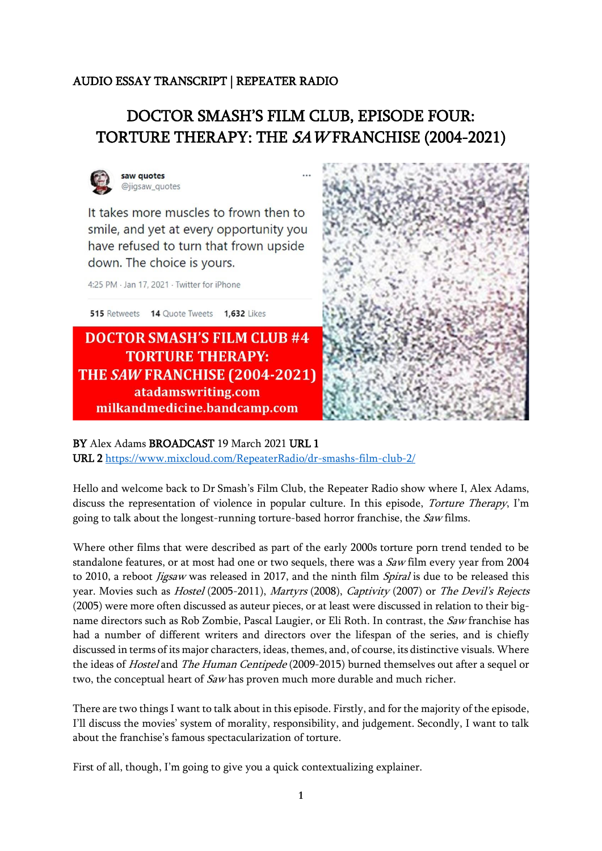## AUDIO ESSAY TRANSCRIPT | REPEATER RADIO

## DOCTOR SMASH'S FILM CLUB, EPISODE FOUR: TORTURE THERAPY: THE SAWFRANCHISE (2004-2021)



It takes more muscles to frown then to smile, and yet at every opportunity you have refused to turn that frown upside down. The choice is yours.

4:25 PM · Jan 17, 2021 · Twitter for iPhone

515 Retweets 14 Quote Tweets 1,632 Likes

**DOCTOR SMASH'S FILM CLUB #4 TORTURE THERAPY:** THE SAW FRANCHISE (2004-2021) atadamswriting.com milkandmedicine.bandcamp.com



BY Alex Adams BROADCAST 19 March 2021 URL 1 URL 2 <https://www.mixcloud.com/RepeaterRadio/dr-smashs-film-club-2/>

Hello and welcome back to Dr Smash's Film Club, the Repeater Radio show where I, Alex Adams, discuss the representation of violence in popular culture. In this episode, Torture Therapy, I'm going to talk about the longest-running torture-based horror franchise, the Saw films.

Where other films that were described as part of the early 2000s torture porn trend tended to be standalone features, or at most had one or two sequels, there was a *Saw* film every year from 2004 to 2010, a reboot *Jigsaw* was released in 2017, and the ninth film *Spiral* is due to be released this year. Movies such as *Hostel* (2005-2011), Martyrs (2008), Captivity (2007) or The Devil's Rejects (2005) were more often discussed as auteur pieces, or at least were discussed in relation to their bigname directors such as Rob Zombie, Pascal Laugier, or Eli Roth. In contrast, the Saw franchise has had a number of different writers and directors over the lifespan of the series, and is chiefly discussed in terms of its major characters, ideas, themes, and, of course, its distinctive visuals. Where the ideas of Hostel and The Human Centipede (2009-2015) burned themselves out after a sequel or two, the conceptual heart of Saw has proven much more durable and much richer.

There are two things I want to talk about in this episode. Firstly, and for the majority of the episode, I'll discuss the movies' system of morality, responsibility, and judgement. Secondly, I want to talk about the franchise's famous spectacularization of torture.

First of all, though, I'm going to give you a quick contextualizing explainer.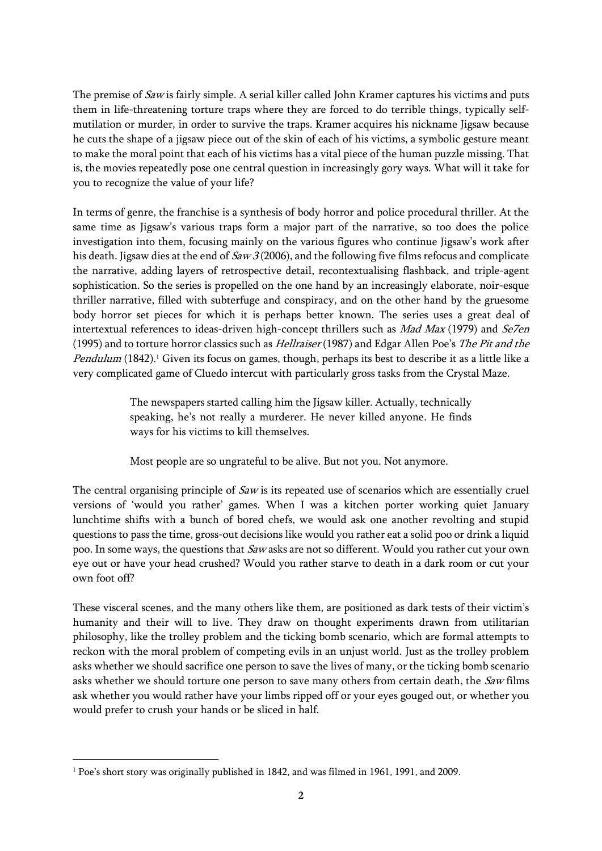The premise of Saw is fairly simple. A serial killer called John Kramer captures his victims and puts them in life-threatening torture traps where they are forced to do terrible things, typically selfmutilation or murder, in order to survive the traps. Kramer acquires his nickname Jigsaw because he cuts the shape of a jigsaw piece out of the skin of each of his victims, a symbolic gesture meant to make the moral point that each of his victims has a vital piece of the human puzzle missing. That is, the movies repeatedly pose one central question in increasingly gory ways. What will it take for you to recognize the value of your life?

In terms of genre, the franchise is a synthesis of body horror and police procedural thriller. At the same time as Jigsaw's various traps form a major part of the narrative, so too does the police investigation into them, focusing mainly on the various figures who continue Jigsaw's work after his death. Jigsaw dies at the end of  $Saw 3 (2006)$ , and the following five films refocus and complicate the narrative, adding layers of retrospective detail, recontextualising flashback, and triple-agent sophistication. So the series is propelled on the one hand by an increasingly elaborate, noir-esque thriller narrative, filled with subterfuge and conspiracy, and on the other hand by the gruesome body horror set pieces for which it is perhaps better known. The series uses a great deal of intertextual references to ideas-driven high-concept thrillers such as *Mad Max* (1979) and *Se7en* (1995) and to torture horror classics such as *Hellraiser* (1987) and Edgar Allen Poe's The Pit and the Pendulum (1842).<sup>1</sup> Given its focus on games, though, perhaps its best to describe it as a little like a very complicated game of Cluedo intercut with particularly gross tasks from the Crystal Maze.

> The newspapers started calling him the Jigsaw killer. Actually, technically speaking, he's not really a murderer. He never killed anyone. He finds ways for his victims to kill themselves.

Most people are so ungrateful to be alive. But not you. Not anymore.

The central organising principle of *Saw* is its repeated use of scenarios which are essentially cruel versions of 'would you rather' games. When I was a kitchen porter working quiet January lunchtime shifts with a bunch of bored chefs, we would ask one another revolting and stupid questions to pass the time, gross-out decisions like would you rather eat a solid poo or drink a liquid poo. In some ways, the questions that Saw asks are not so different. Would you rather cut your own eye out or have your head crushed? Would you rather starve to death in a dark room or cut your own foot off?

These visceral scenes, and the many others like them, are positioned as dark tests of their victim's humanity and their will to live. They draw on thought experiments drawn from utilitarian philosophy, like the trolley problem and the ticking bomb scenario, which are formal attempts to reckon with the moral problem of competing evils in an unjust world. Just as the trolley problem asks whether we should sacrifice one person to save the lives of many, or the ticking bomb scenario asks whether we should torture one person to save many others from certain death, the Saw films ask whether you would rather have your limbs ripped off or your eyes gouged out, or whether you would prefer to crush your hands or be sliced in half.

<sup>1</sup> Poe's short story was originally published in 1842, and was filmed in 1961, 1991, and 2009.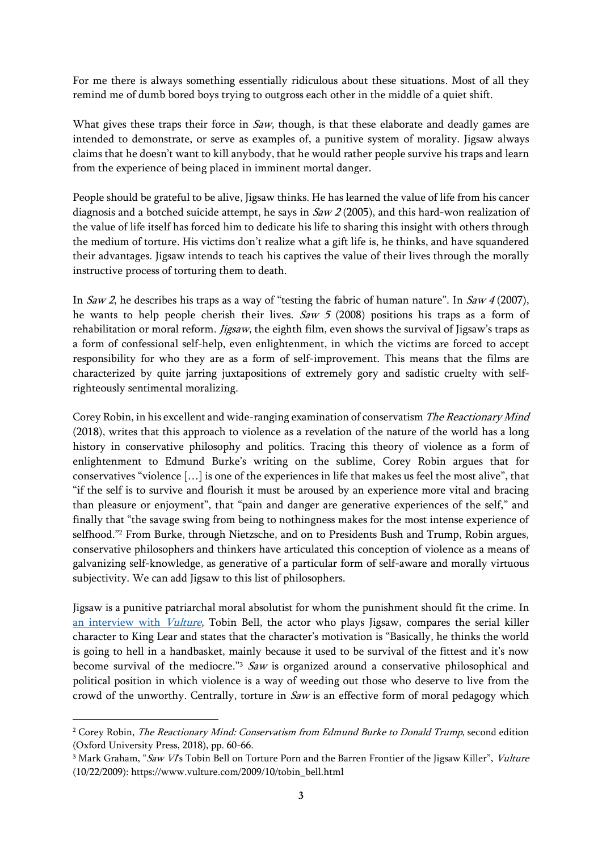For me there is always something essentially ridiculous about these situations. Most of all they remind me of dumb bored boys trying to outgross each other in the middle of a quiet shift.

What gives these traps their force in  $Saw$ , though, is that these elaborate and deadly games are intended to demonstrate, or serve as examples of, a punitive system of morality. Jigsaw always claims that he doesn't want to kill anybody, that he would rather people survive his traps and learn from the experience of being placed in imminent mortal danger.

People should be grateful to be alive, Jigsaw thinks. He has learned the value of life from his cancer diagnosis and a botched suicide attempt, he says in  $Saw 2 (2005)$ , and this hard-won realization of the value of life itself has forced him to dedicate his life to sharing this insight with others through the medium of torture. His victims don't realize what a gift life is, he thinks, and have squandered their advantages. Jigsaw intends to teach his captives the value of their lives through the morally instructive process of torturing them to death.

In Saw 2, he describes his traps as a way of "testing the fabric of human nature". In Saw 4 (2007), he wants to help people cherish their lives. Saw 5 (2008) positions his traps as a form of rehabilitation or moral reform. *Jigsaw*, the eighth film, even shows the survival of Jigsaw's traps as a form of confessional self-help, even enlightenment, in which the victims are forced to accept responsibility for who they are as a form of self-improvement. This means that the films are characterized by quite jarring juxtapositions of extremely gory and sadistic cruelty with selfrighteously sentimental moralizing.

Corey Robin, in his excellent and wide-ranging examination of conservatism The Reactionary Mind (2018), writes that this approach to violence as a revelation of the nature of the world has a long history in conservative philosophy and politics. Tracing this theory of violence as a form of enlightenment to Edmund Burke's writing on the sublime, Corey Robin argues that for conservatives "violence […] is one of the experiences in life that makes us feel the most alive", that "if the self is to survive and flourish it must be aroused by an experience more vital and bracing than pleasure or enjoyment", that "pain and danger are generative experiences of the self," and finally that "the savage swing from being to nothingness makes for the most intense experience of selfhood."<sup>2</sup> From Burke, through Nietzsche, and on to Presidents Bush and Trump, Robin argues, conservative philosophers and thinkers have articulated this conception of violence as a means of galvanizing self-knowledge, as generative of a particular form of self-aware and morally virtuous subjectivity. We can add Jigsaw to this list of philosophers.

Jigsaw is a punitive patriarchal moral absolutist for whom the punishment should fit the crime. In [an interview with](https://www.vulture.com/2009/10/tobin_bell.html) *Vulture*, Tobin Bell, the actor who plays Jigsaw, compares the serial killer character to King Lear and states that the character's motivation is "Basically, he thinks the world is going to hell in a handbasket, mainly because it used to be survival of the fittest and it's now become survival of the mediocre."  $Saw$  is organized around a conservative philosophical and political position in which violence is a way of weeding out those who deserve to live from the crowd of the unworthy. Centrally, torture in  $Saw$  is an effective form of moral pedagogy which

<sup>&</sup>lt;sup>2</sup> Corey Robin, *The Reactionary Mind: Conservatism from Edmund Burke to Donald Trump*, second edition (Oxford University Press, 2018), pp. 60-66.

<sup>&</sup>lt;sup>3</sup> Mark Graham, "Saw VI's Tobin Bell on Torture Porn and the Barren Frontier of the Jigsaw Killer", Vulture (10/22/2009): https://www.vulture.com/2009/10/tobin\_bell.html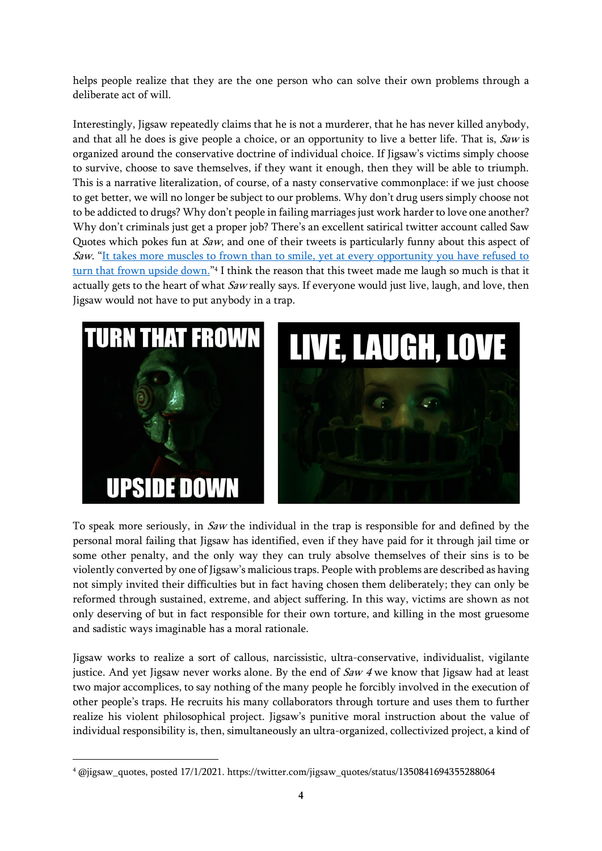helps people realize that they are the one person who can solve their own problems through a deliberate act of will.

Interestingly, Jigsaw repeatedly claims that he is not a murderer, that he has never killed anybody, and that all he does is give people a choice, or an opportunity to live a better life. That is,  $Saw$  is organized around the conservative doctrine of individual choice. If Jigsaw's victims simply choose to survive, choose to save themselves, if they want it enough, then they will be able to triumph. This is a narrative literalization, of course, of a nasty conservative commonplace: if we just choose to get better, we will no longer be subject to our problems. Why don't drug users simply choose not to be addicted to drugs? Why don't people in failing marriages just work harder to love one another? Why don't criminals just get a proper job? There's an excellent satirical twitter account called Saw Quotes which pokes fun at Saw, and one of their tweets is particularly funny about this aspect of Saw. "It takes more muscles to frown than to smile, yet at every opportunity you have refused to <u>[turn that frown upside down.](https://twitter.com/jigsaw_quotes/status/1350841694355288064)</u>"4 I think the reason that this tweet made me laugh so much is that it actually gets to the heart of what *Saw* really says. If everyone would just live, laugh, and love, then Jigsaw would not have to put anybody in a trap.





To speak more seriously, in Saw the individual in the trap is responsible for and defined by the personal moral failing that Jigsaw has identified, even if they have paid for it through jail time or some other penalty, and the only way they can truly absolve themselves of their sins is to be violently converted by one of Jigsaw's malicious traps. People with problems are described as having not simply invited their difficulties but in fact having chosen them deliberately; they can only be reformed through sustained, extreme, and abject suffering. In this way, victims are shown as not only deserving of but in fact responsible for their own torture, and killing in the most gruesome and sadistic ways imaginable has a moral rationale.

Jigsaw works to realize a sort of callous, narcissistic, ultra-conservative, individualist, vigilante justice. And yet Jigsaw never works alone. By the end of  $Saw 4$  we know that Jigsaw had at least two major accomplices, to say nothing of the many people he forcibly involved in the execution of other people's traps. He recruits his many collaborators through torture and uses them to further realize his violent philosophical project. Jigsaw's punitive moral instruction about the value of individual responsibility is, then, simultaneously an ultra-organized, collectivized project, a kind of

<sup>4</sup> @jigsaw\_quotes, posted 17/1/2021. https://twitter.com/jigsaw\_quotes/status/1350841694355288064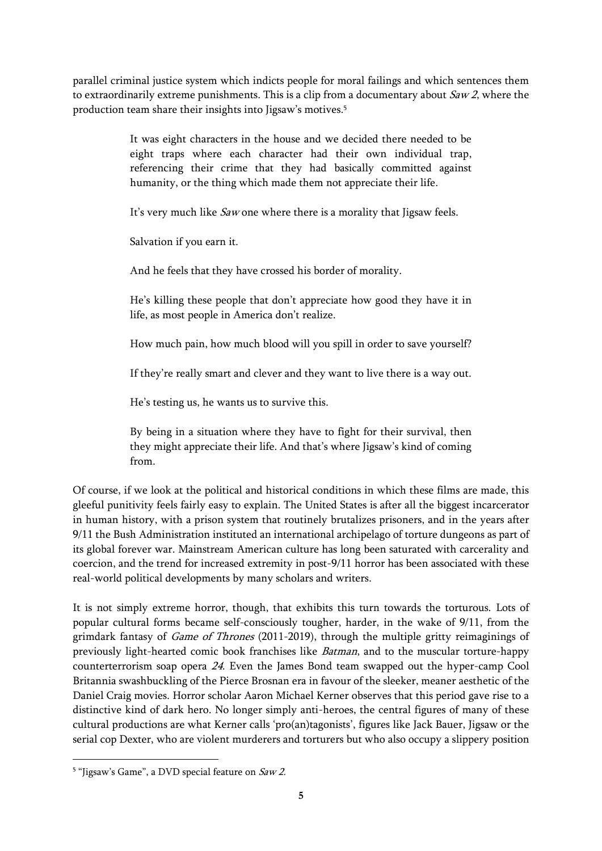parallel criminal justice system which indicts people for moral failings and which sentences them to extraordinarily extreme punishments. This is a clip from a documentary about  $Saw 2$ , where the production team share their insights into Jigsaw's motives.<sup>5</sup>

> It was eight characters in the house and we decided there needed to be eight traps where each character had their own individual trap, referencing their crime that they had basically committed against humanity, or the thing which made them not appreciate their life.

It's very much like Saw one where there is a morality that Jigsaw feels.

Salvation if you earn it.

And he feels that they have crossed his border of morality.

He's killing these people that don't appreciate how good they have it in life, as most people in America don't realize.

How much pain, how much blood will you spill in order to save yourself?

If they're really smart and clever and they want to live there is a way out.

He's testing us, he wants us to survive this.

By being in a situation where they have to fight for their survival, then they might appreciate their life. And that's where Jigsaw's kind of coming from.

Of course, if we look at the political and historical conditions in which these films are made, this gleeful punitivity feels fairly easy to explain. The United States is after all the biggest incarcerator in human history, with a prison system that routinely brutalizes prisoners, and in the years after 9/11 the Bush Administration instituted an international archipelago of torture dungeons as part of its global forever war. Mainstream American culture has long been saturated with carcerality and coercion, and the trend for increased extremity in post-9/11 horror has been associated with these real-world political developments by many scholars and writers.

It is not simply extreme horror, though, that exhibits this turn towards the torturous. Lots of popular cultural forms became self-consciously tougher, harder, in the wake of 9/11, from the grimdark fantasy of Game of Thrones (2011-2019), through the multiple gritty reimaginings of previously light-hearted comic book franchises like Batman, and to the muscular torture-happy counterterrorism soap opera <sup>24</sup>. Even the James Bond team swapped out the hyper-camp Cool Britannia swashbuckling of the Pierce Brosnan era in favour of the sleeker, meaner aesthetic of the Daniel Craig movies. Horror scholar Aaron Michael Kerner observes that this period gave rise to a distinctive kind of dark hero. No longer simply anti-heroes, the central figures of many of these cultural productions are what Kerner calls 'pro(an)tagonists', figures like Jack Bauer, Jigsaw or the serial cop Dexter, who are violent murderers and torturers but who also occupy a slippery position

<sup>&</sup>lt;sup>5</sup> "Jigsaw's Game", a DVD special feature on *Saw 2.*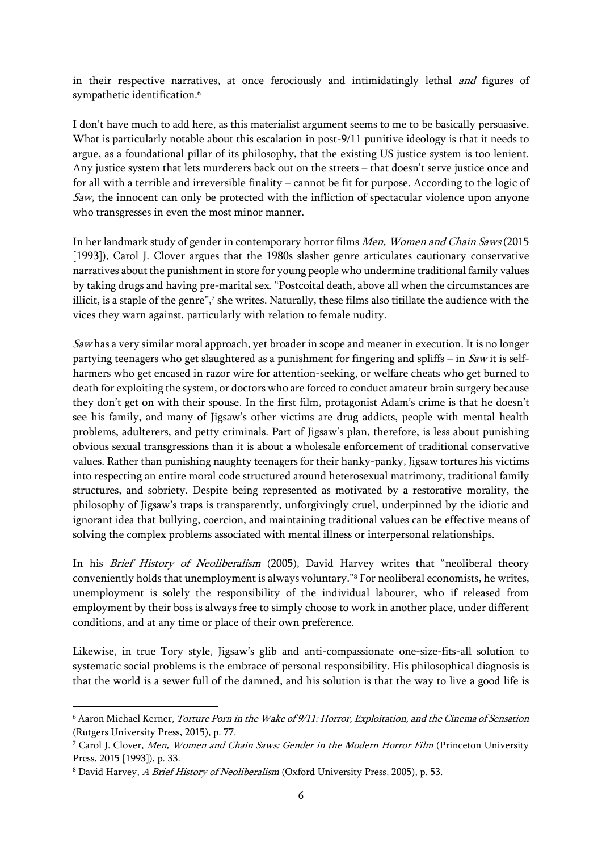in their respective narratives, at once ferociously and intimidatingly lethal and figures of sympathetic identification.<sup>6</sup>

I don't have much to add here, as this materialist argument seems to me to be basically persuasive. What is particularly notable about this escalation in post-9/11 punitive ideology is that it needs to argue, as a foundational pillar of its philosophy, that the existing US justice system is too lenient. Any justice system that lets murderers back out on the streets – that doesn't serve justice once and for all with a terrible and irreversible finality – cannot be fit for purpose. According to the logic of  $Saw$ , the innocent can only be protected with the infliction of spectacular violence upon anyone who transgresses in even the most minor manner.

In her landmark study of gender in contemporary horror films Men, Women and Chain Saws (2015 [1993]), Carol J. Clover argues that the 1980s slasher genre articulates cautionary conservative narratives about the punishment in store for young people who undermine traditional family values by taking drugs and having pre-marital sex. "Postcoital death, above all when the circumstances are illicit, is a staple of the genre", 7 she writes. Naturally, these films also titillate the audience with the vices they warn against, particularly with relation to female nudity.

Saw has a very similar moral approach, yet broader in scope and meaner in execution. It is no longer partying teenagers who get slaughtered as a punishment for fingering and spliffs – in  $Saw$  it is selfharmers who get encased in razor wire for attention-seeking, or welfare cheats who get burned to death for exploiting the system, or doctors who are forced to conduct amateur brain surgery because they don't get on with their spouse. In the first film, protagonist Adam's crime is that he doesn't see his family, and many of Jigsaw's other victims are drug addicts, people with mental health problems, adulterers, and petty criminals. Part of Jigsaw's plan, therefore, is less about punishing obvious sexual transgressions than it is about a wholesale enforcement of traditional conservative values. Rather than punishing naughty teenagers for their hanky-panky, Jigsaw tortures his victims into respecting an entire moral code structured around heterosexual matrimony, traditional family structures, and sobriety. Despite being represented as motivated by a restorative morality, the philosophy of Jigsaw's traps is transparently, unforgivingly cruel, underpinned by the idiotic and ignorant idea that bullying, coercion, and maintaining traditional values can be effective means of solving the complex problems associated with mental illness or interpersonal relationships.

In his Brief History of Neoliberalism (2005), David Harvey writes that "neoliberal theory conveniently holds that unemployment is always voluntary."<sup>8</sup> For neoliberal economists, he writes, unemployment is solely the responsibility of the individual labourer, who if released from employment by their boss is always free to simply choose to work in another place, under different conditions, and at any time or place of their own preference.

Likewise, in true Tory style, Jigsaw's glib and anti-compassionate one-size-fits-all solution to systematic social problems is the embrace of personal responsibility. His philosophical diagnosis is that the world is a sewer full of the damned, and his solution is that the way to live a good life is

<sup>6</sup> Aaron Michael Kerner, Torture Porn in the Wake of 9/11: Horror, Exploitation, and the Cinema of Sensation (Rutgers University Press, 2015), p. 77.

<sup>&</sup>lt;sup>7</sup> Carol J. Clover, Men, Women and Chain Saws: Gender in the Modern Horror Film (Princeton University Press, 2015 [1993]), p. 33.

<sup>8</sup> David Harvey, A Brief History of Neoliberalism (Oxford University Press, 2005), p. 53.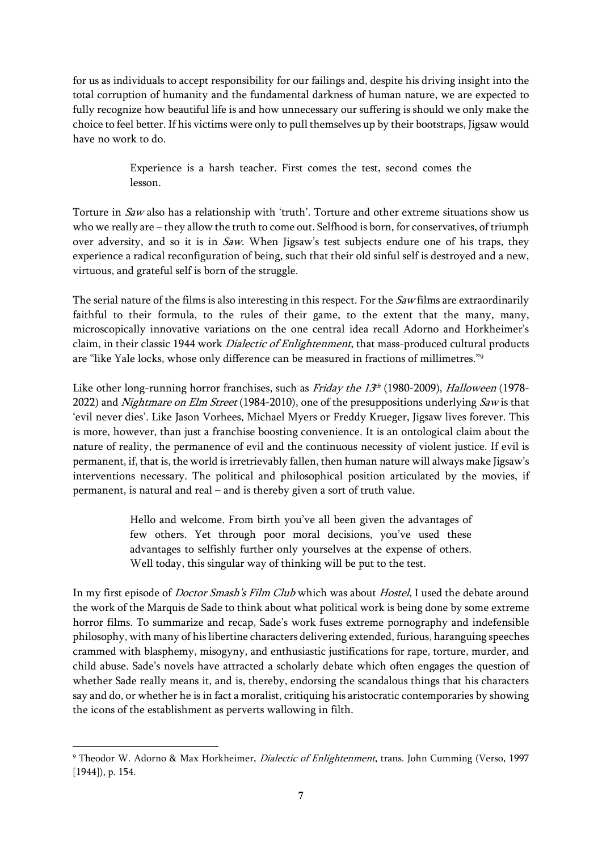for us as individuals to accept responsibility for our failings and, despite his driving insight into the total corruption of humanity and the fundamental darkness of human nature, we are expected to fully recognize how beautiful life is and how unnecessary our suffering is should we only make the choice to feel better. If his victims were only to pull themselves up by their bootstraps, Jigsaw would have no work to do.

> Experience is a harsh teacher. First comes the test, second comes the lesson.

Torture in Saw also has a relationship with 'truth'. Torture and other extreme situations show us who we really are – they allow the truth to come out. Selfhood is born, for conservatives, of triumph over adversity, and so it is in Saw. When Jigsaw's test subjects endure one of his traps, they experience a radical reconfiguration of being, such that their old sinful self is destroyed and a new, virtuous, and grateful self is born of the struggle.

The serial nature of the films is also interesting in this respect. For the Saw films are extraordinarily faithful to their formula, to the rules of their game, to the extent that the many, many, microscopically innovative variations on the one central idea recall Adorno and Horkheimer's claim, in their classic 1944 work Dialectic of Enlightenment, that mass-produced cultural products are "like Yale locks, whose only difference can be measured in fractions of millimetres."<sup>9</sup>

Like other long-running horror franchises, such as *Friday the 13<sup>th</sup>* (1980-2009), *Halloween* (1978-2022) and Nightmare on Elm Street (1984-2010), one of the presuppositions underlying Saw is that 'evil never dies'. Like Jason Vorhees, Michael Myers or Freddy Krueger, Jigsaw lives forever. This is more, however, than just a franchise boosting convenience. It is an ontological claim about the nature of reality, the permanence of evil and the continuous necessity of violent justice. If evil is permanent, if, that is, the world is irretrievably fallen, then human nature will always make Jigsaw's interventions necessary. The political and philosophical position articulated by the movies, if permanent, is natural and real – and is thereby given a sort of truth value.

> Hello and welcome. From birth you've all been given the advantages of few others. Yet through poor moral decisions, you've used these advantages to selfishly further only yourselves at the expense of others. Well today, this singular way of thinking will be put to the test.

In my first episode of *Doctor Smash's Film Club* which was about *Hostel*, I used the debate around the work of the Marquis de Sade to think about what political work is being done by some extreme horror films. To summarize and recap, Sade's work fuses extreme pornography and indefensible philosophy, with many of his libertine characters delivering extended, furious, haranguing speeches crammed with blasphemy, misogyny, and enthusiastic justifications for rape, torture, murder, and child abuse. Sade's novels have attracted a scholarly debate which often engages the question of whether Sade really means it, and is, thereby, endorsing the scandalous things that his characters say and do, or whether he is in fact a moralist, critiquing his aristocratic contemporaries by showing the icons of the establishment as perverts wallowing in filth.

<sup>&</sup>lt;sup>9</sup> Theodor W. Adorno & Max Horkheimer, *Dialectic of Enlightenment*, trans. John Cumming (Verso, 1997 [1944]), p. 154.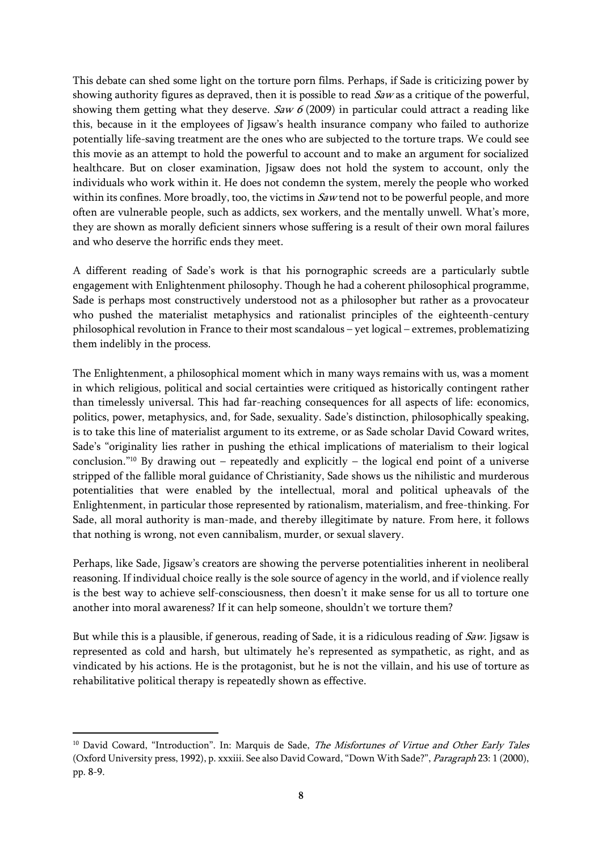This debate can shed some light on the torture porn films. Perhaps, if Sade is criticizing power by showing authority figures as depraved, then it is possible to read  $Saw$  as a critique of the powerful, showing them getting what they deserve. Saw 6 (2009) in particular could attract a reading like this, because in it the employees of Jigsaw's health insurance company who failed to authorize potentially life-saving treatment are the ones who are subjected to the torture traps. We could see this movie as an attempt to hold the powerful to account and to make an argument for socialized healthcare. But on closer examination, Jigsaw does not hold the system to account, only the individuals who work within it. He does not condemn the system, merely the people who worked within its confines. More broadly, too, the victims in  $Saw$  tend not to be powerful people, and more often are vulnerable people, such as addicts, sex workers, and the mentally unwell. What's more, they are shown as morally deficient sinners whose suffering is a result of their own moral failures and who deserve the horrific ends they meet.

A different reading of Sade's work is that his pornographic screeds are a particularly subtle engagement with Enlightenment philosophy. Though he had a coherent philosophical programme, Sade is perhaps most constructively understood not as a philosopher but rather as a provocateur who pushed the materialist metaphysics and rationalist principles of the eighteenth-century philosophical revolution in France to their most scandalous – yet logical – extremes, problematizing them indelibly in the process.

The Enlightenment, a philosophical moment which in many ways remains with us, was a moment in which religious, political and social certainties were critiqued as historically contingent rather than timelessly universal. This had far-reaching consequences for all aspects of life: economics, politics, power, metaphysics, and, for Sade, sexuality. Sade's distinction, philosophically speaking, is to take this line of materialist argument to its extreme, or as Sade scholar David Coward writes, Sade's "originality lies rather in pushing the ethical implications of materialism to their logical conclusion."<sup>10</sup> By drawing out – repeatedly and explicitly – the logical end point of a universe stripped of the fallible moral guidance of Christianity, Sade shows us the nihilistic and murderous potentialities that were enabled by the intellectual, moral and political upheavals of the Enlightenment, in particular those represented by rationalism, materialism, and free-thinking. For Sade, all moral authority is man-made, and thereby illegitimate by nature. From here, it follows that nothing is wrong, not even cannibalism, murder, or sexual slavery.

Perhaps, like Sade, Jigsaw's creators are showing the perverse potentialities inherent in neoliberal reasoning. If individual choice really is the sole source of agency in the world, and if violence really is the best way to achieve self-consciousness, then doesn't it make sense for us all to torture one another into moral awareness? If it can help someone, shouldn't we torture them?

But while this is a plausible, if generous, reading of Sade, it is a ridiculous reading of Saw. Jigsaw is represented as cold and harsh, but ultimately he's represented as sympathetic, as right, and as vindicated by his actions. He is the protagonist, but he is not the villain, and his use of torture as rehabilitative political therapy is repeatedly shown as effective.

<sup>&</sup>lt;sup>10</sup> David Coward, "Introduction". In: Marquis de Sade, The Misfortunes of Virtue and Other Early Tales (Oxford University press, 1992), p. xxxiii. See also David Coward, "Down With Sade?", Paragraph 23: 1 (2000), pp. 8-9.